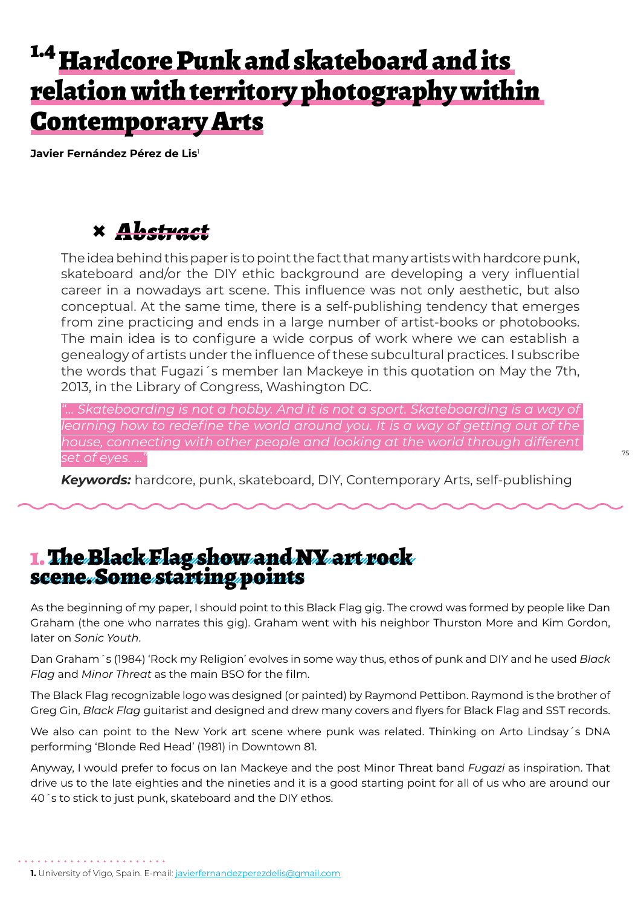# <sup>1.4</sup> Hardcore Punk and skateboard and its relation with territory photography within Contemporary Arts

**Javier Fernández Pérez de Lis**<sup>1</sup>

### **×** *Abstract*

The idea behind this paper is to point the fact that many artists with hardcore punk, skateboard and/or the DIY ethic background are developing a very influential career in a nowadays art scene. This influence was not only aesthetic, but also conceptual. At the same time, there is a self-publishing tendency that emerges from zine practicing and ends in a large number of artist-books or photobooks. The main idea is to configure a wide corpus of work where we can establish a genealogy of artists under the influence of these subcultural practices. I subscribe the words that Fugazi´s member Ian Mackeye in this quotation on May the 7th, 2013, in the Library of Congress, Washington DC.

*"… Skateboarding is not a hobby. And it is not a sport. Skateboarding is a way of*  learning how to redefine the world around you. It is a way of getting out of the *house, connecting with other people and looking at the world through different set of eyes. …"*

*Keywords:* hardcore, punk, skateboard, DIY, Contemporary Arts, self-publishing

#### 1. The Black Flag show and NY art rock scene. Some starting points

As the beginning of my paper, I should point to this Black Flag gig. The crowd was formed by people like Dan Graham (the one who narrates this gig). Graham went with his neighbor Thurston More and Kim Gordon, later on *Sonic Youth*.

Dan Graham´s (1984) 'Rock my Religion' evolves in some way thus, ethos of punk and DIY and he used *Black Flag* and *Minor Threat* as the main BSO for the film.

The Black Flag recognizable logo was designed (or painted) by Raymond Pettibon. Raymond is the brother of Greg Gin, *Black Flag* guitarist and designed and drew many covers and flyers for Black Flag and SST records.

We also can point to the New York art scene where punk was related. Thinking on Arto Lindsay´s DNA performing 'Blonde Red Head' (1981) in Downtown 81.

Anyway, I would prefer to focus on Ian Mackeye and the post Minor Threat band *Fugazi* as inspiration. That drive us to the late eighties and the nineties and it is a good starting point for all of us who are around our 40´s to stick to just punk, skateboard and the DIY ethos.

**<sup>1.</sup>** University of Vigo, Spain. E-mail: javierfernandezperezdelis@gmail.com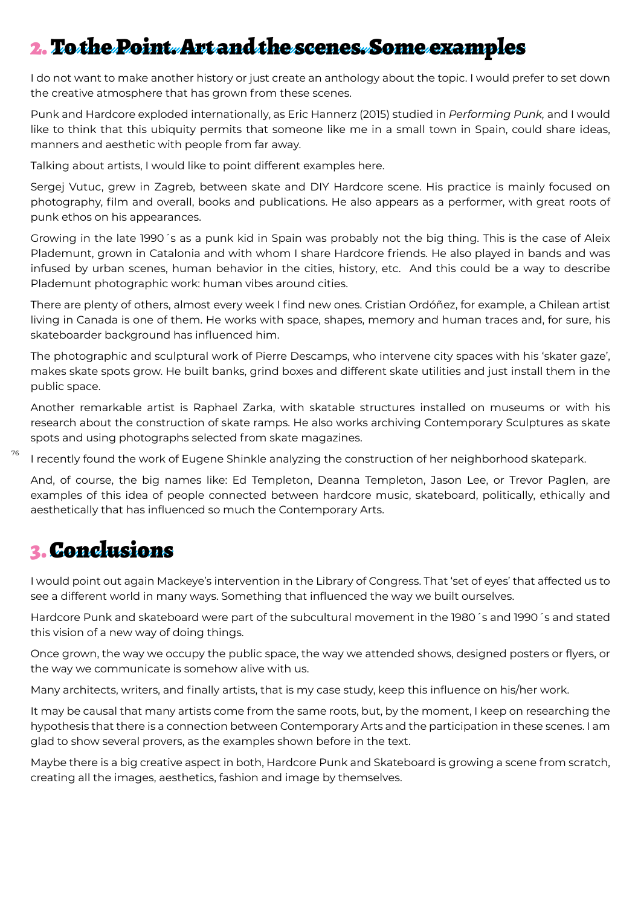## 2. To the Point. Art and the scenes. Some examples

I do not want to make another history or just create an anthology about the topic. I would prefer to set down the creative atmosphere that has grown from these scenes.

Punk and Hardcore exploded internationally, as Eric Hannerz (2015) studied in *Performing Punk,* and I would like to think that this ubiquity permits that someone like me in a small town in Spain, could share ideas, manners and aesthetic with people from far away.

Talking about artists, I would like to point different examples here.

Sergej Vutuc, grew in Zagreb, between skate and DIY Hardcore scene. His practice is mainly focused on photography, film and overall, books and publications. He also appears as a performer, with great roots of punk ethos on his appearances.

Growing in the late 1990´s as a punk kid in Spain was probably not the big thing. This is the case of Aleix Plademunt, grown in Catalonia and with whom I share Hardcore friends. He also played in bands and was infused by urban scenes, human behavior in the cities, history, etc. And this could be a way to describe Plademunt photographic work: human vibes around cities.

There are plenty of others, almost every week I find new ones. Cristian Ordóñez, for example, a Chilean artist living in Canada is one of them. He works with space, shapes, memory and human traces and, for sure, his skateboarder background has influenced him.

The photographic and sculptural work of Pierre Descamps, who intervene city spaces with his 'skater gaze', makes skate spots grow. He built banks, grind boxes and different skate utilities and just install them in the public space.

Another remarkable artist is Raphael Zarka, with skatable structures installed on museums or with his research about the construction of skate ramps. He also works archiving Contemporary Sculptures as skate spots and using photographs selected from skate magazines.

76 I recently found the work of Eugene Shinkle analyzing the construction of her neighborhood skatepark.

And, of course, the big names like: Ed Templeton, Deanna Templeton, Jason Lee, or Trevor Paglen, are examples of this idea of people connected between hardcore music, skateboard, politically, ethically and aesthetically that has influenced so much the Contemporary Arts.

#### 3. Conclusions

I would point out again Mackeye's intervention in the Library of Congress. That 'set of eyes' that affected us to see a different world in many ways. Something that influenced the way we built ourselves.

Hardcore Punk and skateboard were part of the subcultural movement in the 1980´s and 1990´s and stated this vision of a new way of doing things.

Once grown, the way we occupy the public space, the way we attended shows, designed posters or flyers, or the way we communicate is somehow alive with us.

Many architects, writers, and finally artists, that is my case study, keep this influence on his/her work.

It may be causal that many artists come from the same roots, but, by the moment, I keep on researching the hypothesis that there is a connection between Contemporary Arts and the participation in these scenes. I am glad to show several provers, as the examples shown before in the text.

Maybe there is a big creative aspect in both, Hardcore Punk and Skateboard is growing a scene from scratch, creating all the images, aesthetics, fashion and image by themselves.